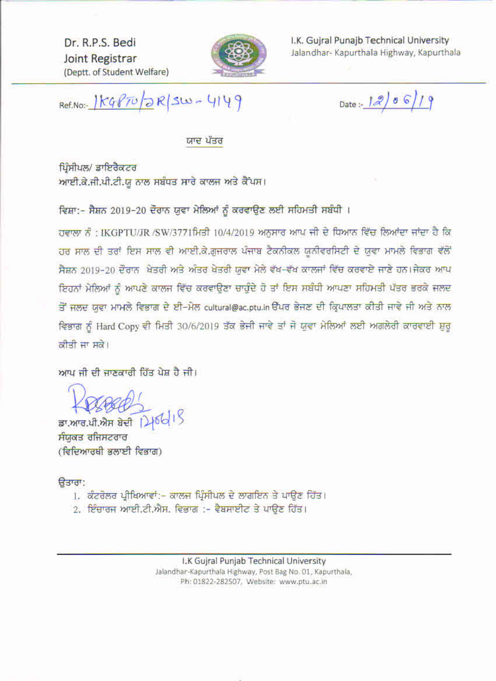Dr. R.P.S. Bedi Joint Registrar (Deptt. of Student Welfare)



I.K. Guiral Punajb Technical University Jalandhar- Kapurthala Highway, Kapurthala

Ref.No :- 1 KGPTUDR SW-4149

Date:  $1206/19$ 

ਯਾਦ ਪੱਤਰ

ਪਿੰਸੀਪਲ/ ਡਾਇਰੈਕਟਰ ਆਈ.ਕੇ.ਜੀ.ਪੀ.ਟੀ.ਯੂ ਨਾਲ ਸਬੰਧਤ ਸਾਰੇ ਕਾਲਜ ਅਤੇ ਕੈਂਪਸ।

ਵਿਸ਼ਾ:- ਸੈਸ਼ਨ 2019-20 ਦੌਰਾਨ ਯੁਵਾ ਮੇਲਿਆਂ ਨੂੰ ਕਰਵਾਉਣ ਲਈ ਸਹਿਮਤੀ ਸਬੰਧੀ ।

ਹਵਾਲਾ ਨੂੰ : IKGPTU/JR /SW/3771ਮਿਤੀ 10/4/2019 ਅਨੁਸਾਰ ਆਪ ਜੀ ਦੇ ਧਿਆਨ ਵਿੱਚ ਲਿਆਂਦਾ ਜਾਂਦਾ ਹੈ ਕਿ ਹਰ ਸਾਲ ਦੀ ਤਰਾਂ ਇਸ ਸਾਲ ਵੀ ਆਈ.ਕੇ.ਗਜਰਾਲ ਪੰਜਾਬ ਟੈਕਨੀਕਲ ਯੂਨੀਵਰਸਿਟੀ ਦੇ ਯੂਵਾ ਮਾਮਲੇ ਵਿਭਾਗ ਵੱਲੋਂ ਸੈਸ਼ਨ 2019-20 ਦੌਰਾਨ ਖੇਤਰੀ ਅਤੇ ਅੰਤਰ ਖੇਤਰੀ ਯਵਾ ਮੇਲੇ ਵੱਖ-ਵੱਖ ਕਾਲਜਾਂ ਵਿੱਚ ਕਰਵਾਏ ਜਾਣੇ ਹਨ।ਜੇਕਰ ਆਪ ਇਹਨਾਂ ਮੇਲਿਆਂ ਨੂੰ ਆਪਣੇ ਕਾਲਜ ਵਿੱਚ ਕਰਵਾਉਣਾ ਚਾਹੁੰਦੇ ਹੋ ਤਾਂ ਇਸ ਸਬੰਧੀ ਆਪਣਾ ਸਹਿਮਤੀ ਪੱਤਰ ਭਰਕੇ ਜਲਦ ਤੋਂ ਜਲਦ ਯੁਵਾ ਮਾਮਲੇ ਵਿਭਾਗ ਦੇ ਈ-ਮੇਲ cultural@ac.ptu.in ਉੱਪਰ ਭੇਜਣ ਦੀ ਕ੍ਰਿਪਾਲਤਾ ਕੀਤੀ ਜਾਵੇ ਜੀ ਅਤੇ ਨਾਲ ਵਿਭਾਗ ਨੂੰ Hard Copy ਵੀ ਮਿਤੀ 30/6/2019 ਤੱਕ ਭੇਜੀ ਜਾਵੇ ਤਾਂ ਜੋ ਯੂਵਾ ਮੇਲਿਆਂ ਲਈ ਅਗਲੇਰੀ ਕਾਰਵਾਈ ਸ਼ੁਰੂ ਕੀਤੀ ਜਾ ਸਕੇ।

ਆਪ ਜੀ ਦੀ ਜਾਣਕਾਰੀ ਹਿੱਤ ਪੇਸ਼ ਹੈ ਜੀ।

ਡਾ.ਆਰ.ਪੀ.ਐਸ ਬੇਦੀ 146615 ਸੰਯੁਕਤ ਰਜਿਸਟਰਾਰ (ਵਿਦਿਆਰਥੀ ਭਲਾਈ ਵਿਭਾਗ)

ਰਿਤਾਰਾ:

- 1. ਕੰਟਰੋਲਰ ਪ੍ਰੀਖਿਆਵਾਂ:- ਕਾਲਜ ਪ੍ਰਿੰਸੀਪਲ ਦੇ ਲਾਗਇਨ ਤੇ ਪਾਉਣ ਹਿੱਤ।
- 2. ਇੰਚਾਰਜ ਆਈ.ਟੀ.ਐਸ. ਵਿਭਾਗ :- ਵੈਬਸਾਈਟ ਤੇ ਪਾਉਣ ਹਿੱਤ।

I.K Gujral Punjab Technical University Jalandhar-Kapurthala Highway, Post Bag No. 01, Kapurthala, Ph: 01822-282507, Website: www.ptu.ac.in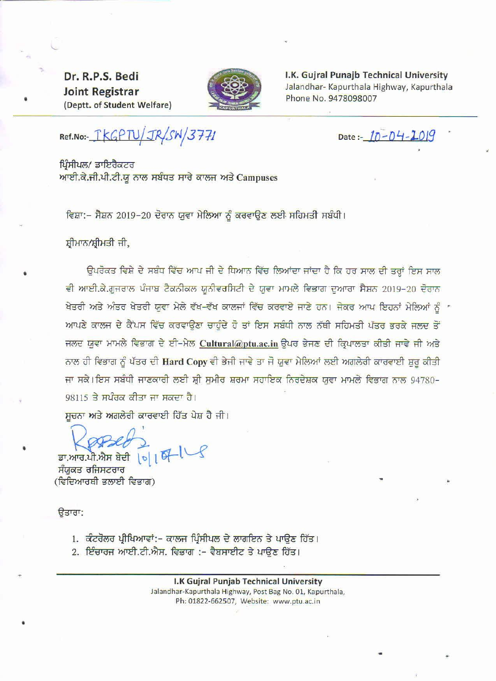Dr. R.P.S. Bedi **Joint Registrar** (Deptt. of Student Welfare)



I.K. Gujral Punajb Technical University Jalandhar- Kapurthala Highway, Kapurthala Phone No. 9478098007

Ref.No :- TKGPTU/JR/SW/3771

Date:-  $10 - 04 - 1019$ 

ਪਿੰਸੀਪਲ/ ਡਾਇਰੈਕਟਰ ਆਈ.ਕੇ.ਜੀ.ਪੀ.ਟੀ.ਯੂ ਨਾਲ ਸਬੰਧਤ ਸਾਰੇ ਕਾਲਜ ਅਤੇ Campuses

ਵਿਸ਼ਾ:- ਸੈਸ਼ਨ 2019-20 ਦੋਰਾਨ ਯੁਵਾ ਮੇਲਿਆ ਨੂੰ ਕਰਵਾਉਣ ਲਈ ਸਹਿਮਤੀ ਸਬੰਧੀ।

ਸ਼ੀਮਾਨ/ਸ਼੍ਰੀਮਤੀ ਜੀ,

ਉਪਰੋਕਤ ਵਿਸ਼ੇ ਦੇ ਸਬੰਧ ਵਿੱਚ ਆਪ ਜੀ ਦੇ ਧਿਆਨ ਵਿੱਚ ਲਿਆਂਦਾ ਜਾਂਦਾ ਹੈ ਕਿ ਹਰ ਸਾਲ ਦੀ ਤਰ੍ਹਾਂ ਇਸ ਸਾਲ ਵੀ ਆਈ.ਕੇ.ਗੁਜਰਾਲ ਪੰਜਾਬ ਟੈਕਨੀਕਲ ਯੂਨੀਵਰਸਿਟੀ ਦੇ ਯੁਵਾ ਮਾਮਲੇ ਵਿਭਾਗ ਦੁਆਰਾ ਸੈਸ਼ਨ 2019-20 ਦੋਰਾਨ ਖੇਤਰੀ ਅਤੇ ਅੰਤਰ ਖੇਤਰੀ ਯੁਵਾ ਮੇਲੇ ਵੱਖ-ਵੱਖ ਕਾਲਜਾਂ ਵਿੱਚ ਕਰਵਾਏ ਜਾਣੇ ਹਨ। ਜੇਕਰ ਆਪ ਇਹਨਾਂ ਮੇਲਿਆਂ ਨੂੰ ਸ ਆਪਣੇ ਕਾਲਜ ਦੇ ਕੈਂਪਸ ਵਿੱਚ ਕਰਵਾਉਣਾ ਚਾਹੁੰਦੇ ਹੋ ਤਾਂ ਇਸ ਸਬੰਧੀ ਨਾਲ ਨੱਥੀ ਸਹਿਮਤੀ ਪੱਤਰ ਭਰਕੇ ਜਲਦ ਤੋਂ ਜਲਦ ਯੁਵਾ ਮਾਮਲੇ ਵਿਭਾਗ ਦੇ ਈ-ਮੇਲ Cultural@ptu.ac.in ਉਪਰ ਭੇਜਣ ਦੀ ਕ੍ਰਿਪਾਲਤਾ ਕੀਤੀ ਜਾਵੇ ਜੀ ਅਤੇ ਨਾਲ ਹੀ ਵਿਭਾਗ ਨੂੰ ਪੱਤਰ ਦੀ Hard Copy ਵੀ ਭੇਜੀ ਜਾਵੇ ਤਾ ਜੋ ਯੁਵਾ ਮੇਲਿਆਂ ਲਈ ਅਗਲੇਰੀ ਕਾਰਵਾਈ ਸ਼ੁਰੂ ਕੀਤੀ ਜਾ ਸਕੇ।ਇਸ ਸਬੰਧੀ ਜਾਣਕਾਰੀ ਲਈ ਸ਼੍ਰੀ ਸੁਮੀਰ ਸ਼ਰਮਾ ਸਹਾਇਕ ਨਿਰਦੇਸ਼ਕ ਯੁਵਾ ਮਾਮਲੇ ਵਿਭਾਗ ਨਾਲ 94780-98115 ਤੇ ਸਪੰਰਕ ਕੀਤਾ ਜਾ ਸਕਦਾ ਹੈ।

ਸਚਨਾ ਅਤੇ ਅਗਲੇਰੀ ਕਾਰਵਾਈ ਹਿੱਤ ਪੇਸ਼ ਹੈ ਜੀ।

ਡਾ.ਆਰ.ਪੀ.ਐਸ ਬੇਦੀ | b| |

ਸੰਯੁਕਤ ਰਜਿਸਟਰਾਰ (ਵਿਦਿਆਰਥੀ ਭਲਾਈ ਵਿਭਾਗ)

ੳਤਾਰਾ:

- 1. ਕੰਟਰੋਲਰ ਪ੍ਰੀਖਿਆਵਾਂ:- ਕਾਲਜ ਪ੍ਰਿੰਸੀਪਲ ਦੇ ਲਾਗਇਨ ਤੇ ਪਾਉਣ ਹਿੱਤ।
- 2. ਇੰਚਾਰਜ ਆਈ.ਟੀ.ਐਸ. ਵਿਭਾਗ :- ਵੈਬਸਾਈਟ ਤੇ ਪਾਉਣ ਹਿੱਤ।

I.K Gujral Punjab Technical University Jalandhar-Kapurthala Highway, Post Bag No. 01, Kapurthala, Ph: 01822-662507, Website: www.ptu.ac.in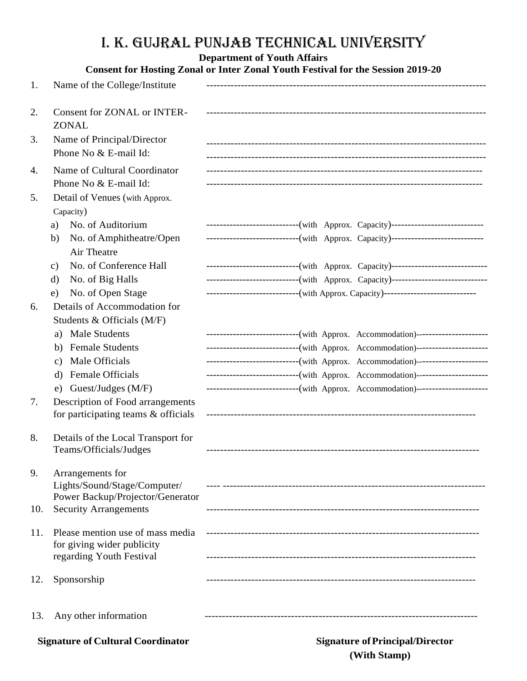## I. K. GUJRAL Punjab Technical University

## **Department of Youth Affairs**

|                                          |                                                                | <b>Consent for Hosting Zonal or Inter Zonal Youth Festival for the Session 2019-20</b> |
|------------------------------------------|----------------------------------------------------------------|----------------------------------------------------------------------------------------|
| 1.                                       | Name of the College/Institute                                  |                                                                                        |
| 2.                                       | <b>Consent for ZONAL or INTER-</b><br><b>ZONAL</b>             |                                                                                        |
| 3.                                       | Name of Principal/Director<br>Phone No & E-mail Id:            |                                                                                        |
| 4.                                       | Name of Cultural Coordinator<br>Phone No & E-mail Id:          |                                                                                        |
| 5.                                       | Detail of Venues (with Approx.<br>Capacity)                    |                                                                                        |
|                                          | No. of Auditorium<br>a)                                        | ----------------------------(with Approx. Capacity)----------------------------        |
|                                          | No. of Amphitheatre/Open<br>b)<br>Air Theatre                  | ----------------------------(with Approx. Capacity)----------------------------        |
|                                          | No. of Conference Hall<br>c)                                   | ----------------------------(with Approx. Capacity)-----------------------------       |
|                                          | No. of Big Halls<br>$\rm d$                                    | ----------------------------(with Approx. Capacity)-----------------------------       |
|                                          | No. of Open Stage<br>e)                                        | ----------------------------(with Approx. Capacity)-----------------------------       |
| 6.                                       | Details of Accommodation for                                   |                                                                                        |
|                                          | Students & Officials (M/F)                                     |                                                                                        |
|                                          | <b>Male Students</b><br>a)                                     | -----------------------------(with Approx. Accommodation)----------------------        |
|                                          | <b>Female Students</b><br>b)                                   | ----------------------------(with Approx. Accommodation)---------------------          |
|                                          | Male Officials<br>$\mathbf{c}$ )                               | ----------------------------(with Approx. Accommodation)---------------------          |
|                                          | Female Officials<br>d)                                         | ----------------------------(with Approx. Accommodation)---------------------          |
|                                          | e) Guest/Judges (M/F)                                          | ----------------------------(with Approx. Accommodation)----------------------         |
| 7.                                       | Description of Food arrangements                               |                                                                                        |
|                                          | for participating teams & officials                            |                                                                                        |
| 8.                                       | Details of the Local Transport for                             |                                                                                        |
|                                          | Teams/Officials/Judges                                         |                                                                                        |
| 9.                                       | Arrangements for                                               |                                                                                        |
|                                          | Lights/Sound/Stage/Computer/                                   |                                                                                        |
|                                          | Power Backup/Projector/Generator                               |                                                                                        |
| 10.                                      | <b>Security Arrangements</b>                                   |                                                                                        |
| 11.                                      | Please mention use of mass media<br>for giving wider publicity |                                                                                        |
|                                          | regarding Youth Festival                                       |                                                                                        |
| 12.                                      | Sponsorship                                                    |                                                                                        |
| 13.                                      | Any other information                                          |                                                                                        |
| <b>Signature of Cultural Coordinator</b> |                                                                | <b>Signature of Principal/Director</b>                                                 |

**(With Stamp)**